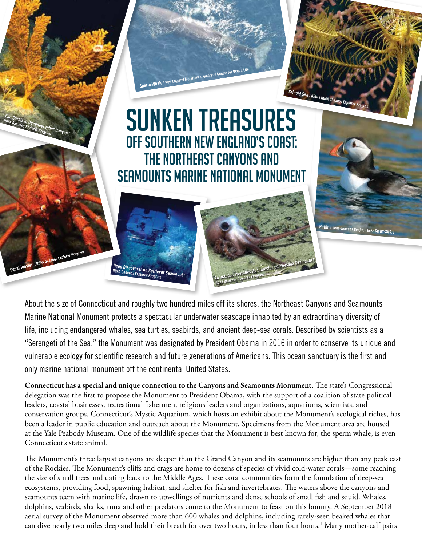## OFF SOUTHERN NEW ENGLAND'S COAST: THE NORTHEAST CANYONS AND SEAMOUNTS MARINE NATIONAL MONUMENT **SUNKEN TREASURES**

**Sperm Whale I New England Aquarium's Anderson Center** 

**Crinoid Sea Lilies | NOAA Okeanos Explorer Program**

**Puffin** | Jean-Jacques Bo

About the size of Connecticut and roughly two hundred miles off its shores, the Northeast Canyons and Seamounts Marine National Monument protects a spectacular underwater seascape inhabited by an extraordinary diversity of life, including endangered whales, sea turtles, seabirds, and ancient deep-sea corals. Described by scientists as a "Serengeti of the Sea," the Monument was designated by President Obama in 2016 in order to conserve its unique and vulnerable ecology for scientific research and future generations of Americans. This ocean sanctuary is the first and only marine national monument off the continental United States.

**An octopus stretches its tentacles on Physalia Seamount<sup>|</sup>**

**NOAA Okeanos Explorer Program**

**Deep Discoverer on Retriever Seamount<sup>|</sup> NOAA Okeanos Explorer Program**

**Squat lobster | NOAA Okeanos Explorer Program**

**Fan Corals in Oceanographer Canyon<sup>|</sup> NOAA Okeanos Explorer Program**

> Connecticut has a special and unique connection to the Canyons and Seamounts Monument. The state's Congressional delegation was the first to propose the Monument to President Obama, with the support of a coalition of state political leaders, coastal businesses, recreational fishermen, religious leaders and organizations, aquariums, scientists, and conservation groups. Connecticut's Mystic Aquarium, which hosts an exhibit about the Monument's ecological riches, has been a leader in public education and outreach about the Monument. Specimens from the Monument area are housed at the Yale Peabody Museum. One of the wildlife species that the Monument is best known for, the sperm whale, is even Connecticut's state animal.

> The Monument's three largest canyons are deeper than the Grand Canyon and its seamounts are higher than any peak east of the Rockies. The Monument's cliffs and crags are home to dozens of species of vivid cold-water corals—some reaching the size of small trees and dating back to the Middle Ages. These coral communities form the foundation of deep-sea ecosystems, providing food, spawning habitat, and shelter for fish and invertebrates. The waters above the canyons and seamounts teem with marine life, drawn to upwellings of nutrients and dense schools of small fish and squid. Whales, dolphins, seabirds, sharks, tuna and other predators come to the Monument to feast on this bounty. A September 2018 aerial survey of the Monument observed more than 600 whales and dolphins, including rarely-seen beaked whales that can dive nearly two miles deep and hold their breath for over two hours, in less than four hours.1 Many mother-calf pairs